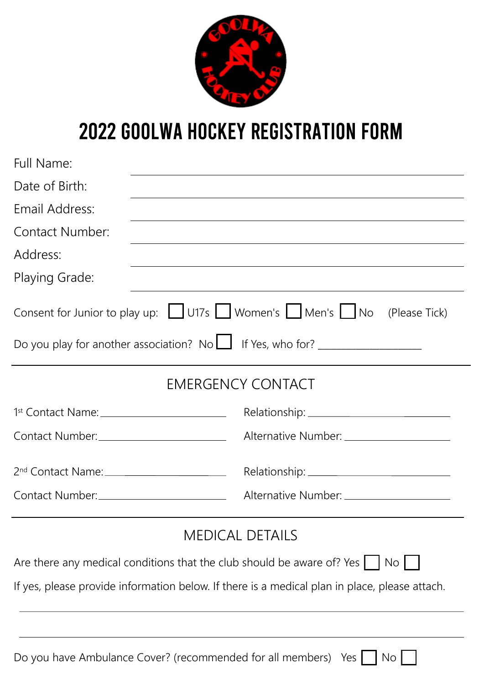

## 2022 GOOLWA HOCKEY REGISTRATION FORM

| Full Name:                                  |                                                                                                                                |
|---------------------------------------------|--------------------------------------------------------------------------------------------------------------------------------|
| Date of Birth:                              | <u> 1989 - Johann Stoff, amerikansk politiker (d. 1989)</u>                                                                    |
| Email Address:                              | <u> 1989 - Johann Stoff, deutscher Stoffen und der Stoffen und der Stoffen und der Stoffen und der Stoffen und der</u>         |
| Contact Number:                             | <u> 1989 - Johann Stoff, deutscher Stoffen und der Stoffen und der Stoffen und der Stoffen und der Stoffen und der</u>         |
| Address:                                    |                                                                                                                                |
| Playing Grade:                              |                                                                                                                                |
|                                             | Consent for Junior to play up: □ U17s □ Women's □ Men's □ No<br>(Please Tick)                                                  |
|                                             | Do you play for another association? No $\Box$ If Yes, who for? __________________                                             |
|                                             | <b>EMERGENCY CONTACT</b>                                                                                                       |
| 1st Contact Name: _________________________ |                                                                                                                                |
| Contact Number: _________________________   | Alternative Number: ____________________                                                                                       |
|                                             |                                                                                                                                |
| Contact Number:_________________________    | Alternative Number: _____________________                                                                                      |
|                                             | <b>MEDICAL DETAILS</b>                                                                                                         |
|                                             | Are there any medical conditions that the club should be aware of? Yes<br>$\overline{\phantom{a}}$ No $\overline{\phantom{a}}$ |

If yes, please provide information below. If there is a medical plan in place, please attach.

| Do you have Ambulance Cover? (recommended for all members) Yes $\Box$ No $\Box$ |  |  |  |  |  |
|---------------------------------------------------------------------------------|--|--|--|--|--|
|---------------------------------------------------------------------------------|--|--|--|--|--|